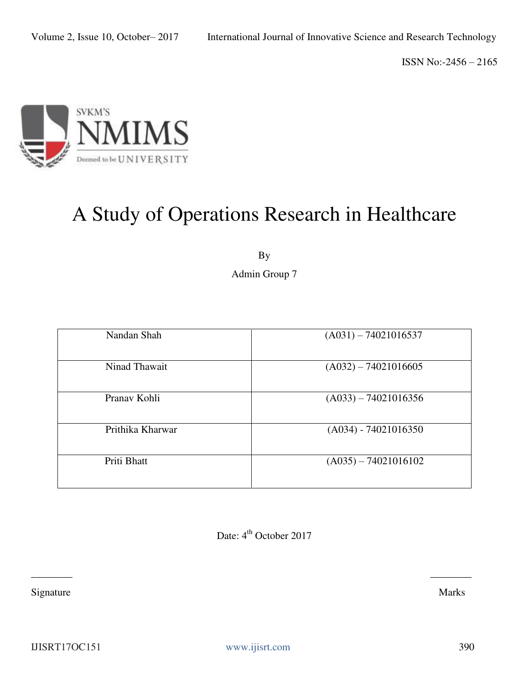

# A Study of Operations Research in Healthcare

By

Admin Group 7

| Nandan Shah      | $(A031) - 74021016537$ |
|------------------|------------------------|
| Ninad Thawait    | $(A032) - 74021016605$ |
| Pranav Kohli     | $(A033) - 74021016356$ |
| Prithika Kharwar | $(A034) - 74021016350$ |
| Priti Bhatt      | $(A035) - 74021016102$ |

Date: 4<sup>th</sup> October 2017

 $\frac{1}{2}$  ,  $\frac{1}{2}$  ,  $\frac{1}{2}$  ,  $\frac{1}{2}$  ,  $\frac{1}{2}$  ,  $\frac{1}{2}$  ,  $\frac{1}{2}$  ,  $\frac{1}{2}$  ,  $\frac{1}{2}$  ,  $\frac{1}{2}$  ,  $\frac{1}{2}$  ,  $\frac{1}{2}$  ,  $\frac{1}{2}$  ,  $\frac{1}{2}$  ,  $\frac{1}{2}$  ,  $\frac{1}{2}$  ,  $\frac{1}{2}$  ,  $\frac{1}{2}$  ,  $\frac{1$ 

Signature Marks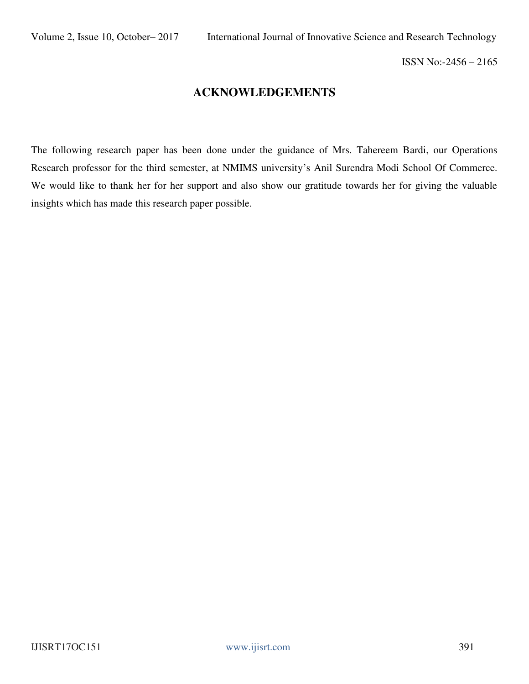# **ACKNOWLEDGEMENTS**

The following research paper has been done under the guidance of Mrs. Tahereem Bardi, our Operations Research professor for the third semester, at NMIMS university's Anil Surendra Modi School Of Commerce. We would like to thank her for her support and also show our gratitude towards her for giving the valuable insights which has made this research paper possible.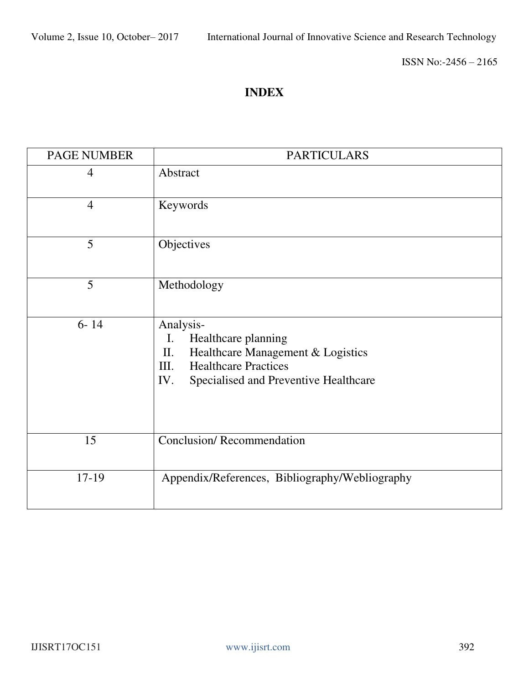# **INDEX**

| <b>PAGE NUMBER</b> | <b>PARTICULARS</b>                                                                                                                                                       |
|--------------------|--------------------------------------------------------------------------------------------------------------------------------------------------------------------------|
| $\overline{4}$     | Abstract                                                                                                                                                                 |
| $\overline{4}$     | Keywords                                                                                                                                                                 |
| 5                  | Objectives                                                                                                                                                               |
| 5                  | Methodology                                                                                                                                                              |
| $6 - 14$           | Analysis-<br>Healthcare planning<br>I.<br>Healthcare Management & Logistics<br>П.<br><b>Healthcare Practices</b><br>III.<br>IV.<br>Specialised and Preventive Healthcare |
| 15                 | <b>Conclusion/Recommendation</b>                                                                                                                                         |
| 17-19              | Appendix/References, Bibliography/Webliography                                                                                                                           |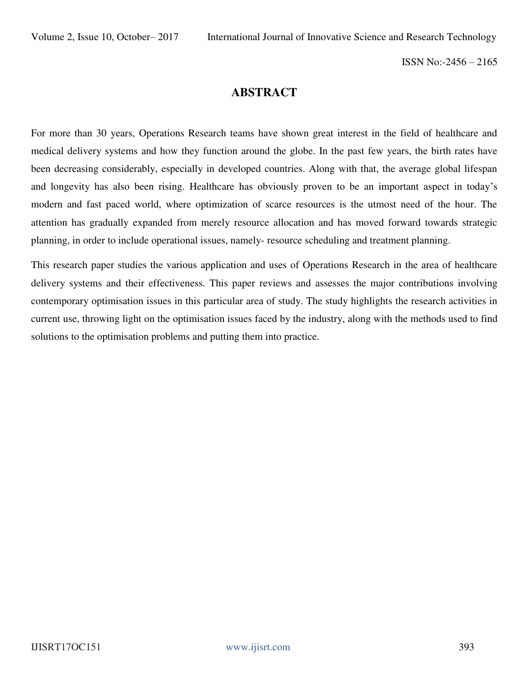# **ABSTRACT**

For more than 30 years, Operations Research teams have shown great interest in the field of healthcare and medical delivery systems and how they function around the globe. In the past few years, the birth rates have been decreasing considerably, especially in developed countries. Along with that, the average global lifespan and longevity has also been rising. Healthcare has obviously proven to be an important aspect in today's modern and fast paced world, where optimization of scarce resources is the utmost need of the hour. The attention has gradually expanded from merely resource allocation and has moved forward towards strategic planning, in order to include operational issues, namely- resource scheduling and treatment planning.

This research paper studies the various application and uses of Operations Research in the area of healthcare delivery systems and their effectiveness. This paper reviews and assesses the major contributions involving contemporary optimisation issues in this particular area of study. The study highlights the research activities in current use, throwing light on the optimisation issues faced by the industry, along with the methods used to find solutions to the optimisation problems and putting them into practice.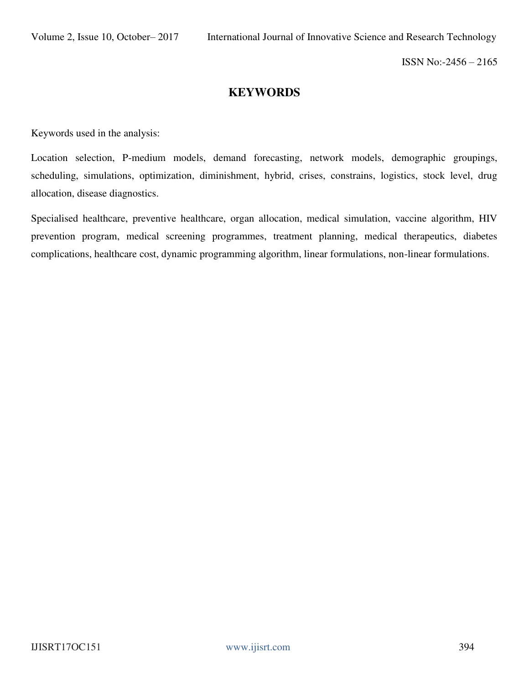# **KEYWORDS**

Keywords used in the analysis:

Location selection, P-medium models, demand forecasting, network models, demographic groupings, scheduling, simulations, optimization, diminishment, hybrid, crises, constrains, logistics, stock level, drug allocation, disease diagnostics.

Specialised healthcare, preventive healthcare, organ allocation, medical simulation, vaccine algorithm, HIV prevention program, medical screening programmes, treatment planning, medical therapeutics, diabetes complications, healthcare cost, dynamic programming algorithm, linear formulations, non-linear formulations.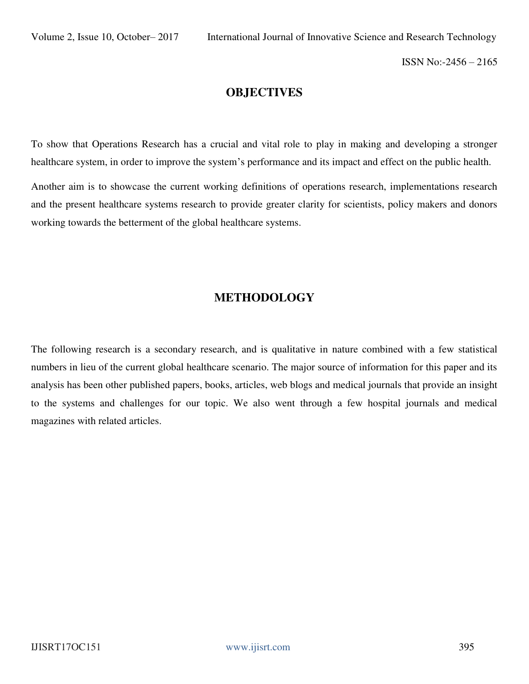## **OBJECTIVES**

To show that Operations Research has a crucial and vital role to play in making and developing a stronger healthcare system, in order to improve the system's performance and its impact and effect on the public health.

Another aim is to showcase the current working definitions of operations research, implementations research and the present healthcare systems research to provide greater clarity for scientists, policy makers and donors working towards the betterment of the global healthcare systems.

# **METHODOLOGY**

The following research is a secondary research, and is qualitative in nature combined with a few statistical numbers in lieu of the current global healthcare scenario. The major source of information for this paper and its analysis has been other published papers, books, articles, web blogs and medical journals that provide an insight to the systems and challenges for our topic. We also went through a few hospital journals and medical magazines with related articles.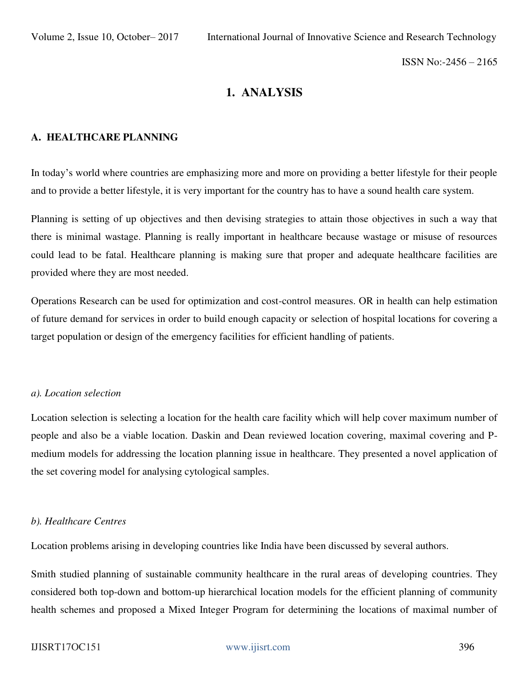# **1. ANALYSIS**

### **A. HEALTHCARE PLANNING**

In today's world where countries are emphasizing more and more on providing a better lifestyle for their people and to provide a better lifestyle, it is very important for the country has to have a sound health care system.

Planning is setting of up objectives and then devising strategies to attain those objectives in such a way that there is minimal wastage. Planning is really important in healthcare because wastage or misuse of resources could lead to be fatal. Healthcare planning is making sure that proper and adequate healthcare facilities are provided where they are most needed.

Operations Research can be used for optimization and cost-control measures. OR in health can help estimation of future demand for services in order to build enough capacity or selection of hospital locations for covering a target population or design of the emergency facilities for efficient handling of patients.

#### *a). Location selection*

Location selection is selecting a location for the health care facility which will help cover maximum number of people and also be a viable location. Daskin and Dean reviewed location covering, maximal covering and Pmedium models for addressing the location planning issue in healthcare. They presented a novel application of the set covering model for analysing cytological samples.

#### *b). Healthcare Centres*

Location problems arising in developing countries like India have been discussed by several authors.

Smith studied planning of sustainable community healthcare in the rural areas of developing countries. They considered both top-down and bottom-up hierarchical location models for the efficient planning of community health schemes and proposed a Mixed Integer Program for determining the locations of maximal number of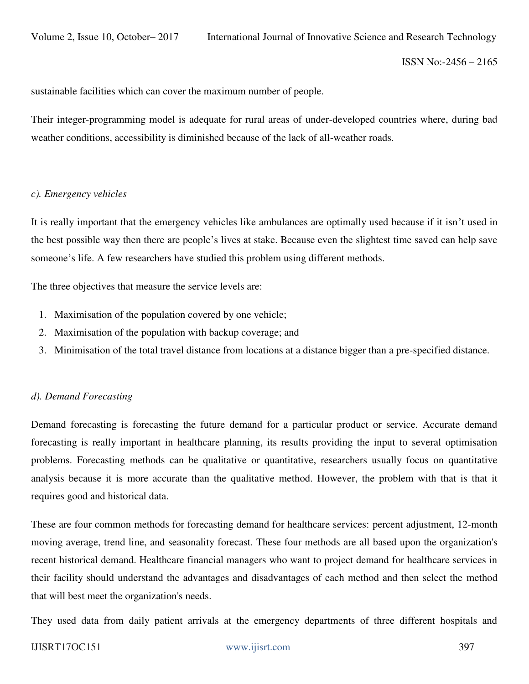sustainable facilities which can cover the maximum number of people.

Their integer-programming model is adequate for rural areas of under-developed countries where, during bad weather conditions, accessibility is diminished because of the lack of all-weather roads.

#### *c). Emergency vehicles*

It is really important that the emergency vehicles like ambulances are optimally used because if it isn't used in the best possible way then there are people's lives at stake. Because even the slightest time saved can help save someone's life. A few researchers have studied this problem using different methods.

The three objectives that measure the service levels are:

- 1. Maximisation of the population covered by one vehicle;
- 2. Maximisation of the population with backup coverage; and
- 3. Minimisation of the total travel distance from locations at a distance bigger than a pre-specified distance.

### *d). Demand Forecasting*

Demand forecasting is forecasting the future demand for a particular product or service. Accurate demand forecasting is really important in healthcare planning, its results providing the input to several optimisation problems. Forecasting methods can be qualitative or quantitative, researchers usually focus on quantitative analysis because it is more accurate than the qualitative method. However, the problem with that is that it requires good and historical data.

These are four common methods for forecasting demand for healthcare services: percent adjustment, 12-month moving average, trend line, and seasonality forecast. These four methods are all based upon the organization's recent historical demand. Healthcare financial managers who want to project demand for healthcare services in their facility should understand the advantages and disadvantages of each method and then select the method that will best meet the organization's needs.

They used data from daily patient arrivals at the emergency departments of three different hospitals and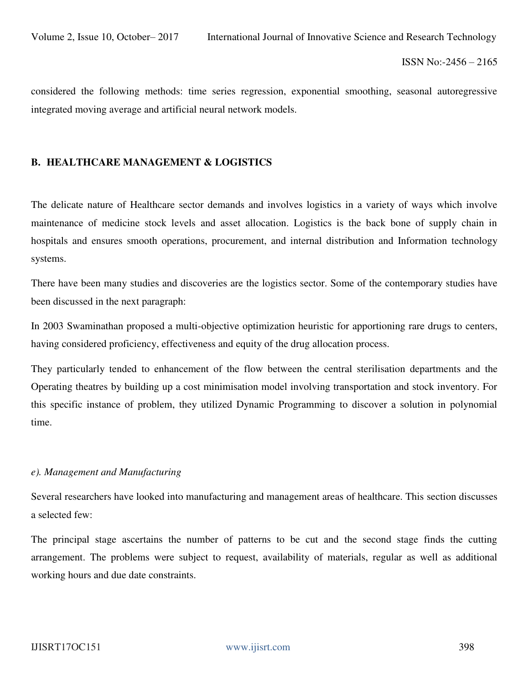considered the following methods: time series regression, exponential smoothing, seasonal autoregressive integrated moving average and artificial neural network models.

#### **B. HEALTHCARE MANAGEMENT & LOGISTICS**

The delicate nature of Healthcare sector demands and involves logistics in a variety of ways which involve maintenance of medicine stock levels and asset allocation. Logistics is the back bone of supply chain in hospitals and ensures smooth operations, procurement, and internal distribution and Information technology systems.

There have been many studies and discoveries are the logistics sector. Some of the contemporary studies have been discussed in the next paragraph:

In 2003 Swaminathan proposed a multi-objective optimization heuristic for apportioning rare drugs to centers, having considered proficiency, effectiveness and equity of the drug allocation process.

They particularly tended to enhancement of the flow between the central sterilisation departments and the Operating theatres by building up a cost minimisation model involving transportation and stock inventory. For this specific instance of problem, they utilized Dynamic Programming to discover a solution in polynomial time.

#### *e). Management and Manufacturing*

Several researchers have looked into manufacturing and management areas of healthcare. This section discusses a selected few:

The principal stage ascertains the number of patterns to be cut and the second stage finds the cutting arrangement. The problems were subject to request, availability of materials, regular as well as additional working hours and due date constraints.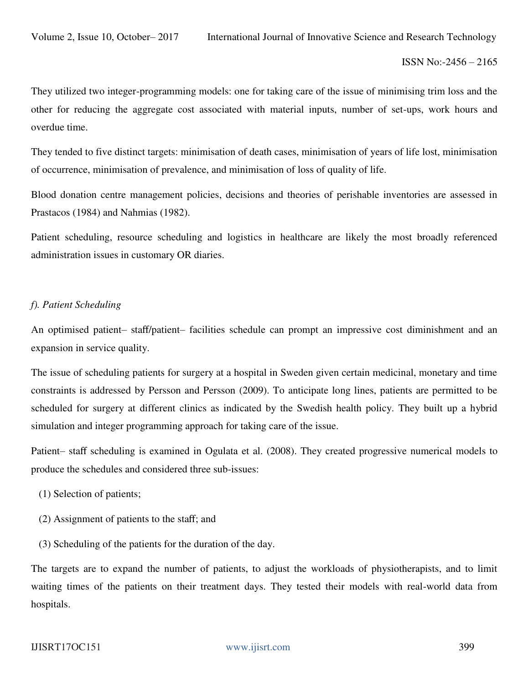They utilized two integer-programming models: one for taking care of the issue of minimising trim loss and the other for reducing the aggregate cost associated with material inputs, number of set-ups, work hours and overdue time.

They tended to five distinct targets: minimisation of death cases, minimisation of years of life lost, minimisation of occurrence, minimisation of prevalence, and minimisation of loss of quality of life.

Blood donation centre management policies, decisions and theories of perishable inventories are assessed in Prastacos (1984) and Nahmias (1982).

Patient scheduling, resource scheduling and logistics in healthcare are likely the most broadly referenced administration issues in customary OR diaries.

#### *f). Patient Scheduling*

An optimised patient– staff/patient– facilities schedule can prompt an impressive cost diminishment and an expansion in service quality.

The issue of scheduling patients for surgery at a hospital in Sweden given certain medicinal, monetary and time constraints is addressed by Persson and Persson (2009). To anticipate long lines, patients are permitted to be scheduled for surgery at different clinics as indicated by the Swedish health policy. They built up a hybrid simulation and integer programming approach for taking care of the issue.

Patient– staff scheduling is examined in Ogulata et al. (2008). They created progressive numerical models to produce the schedules and considered three sub-issues:

- (1) Selection of patients;
- (2) Assignment of patients to the staff; and
- (3) Scheduling of the patients for the duration of the day.

The targets are to expand the number of patients, to adjust the workloads of physiotherapists, and to limit waiting times of the patients on their treatment days. They tested their models with real-world data from hospitals.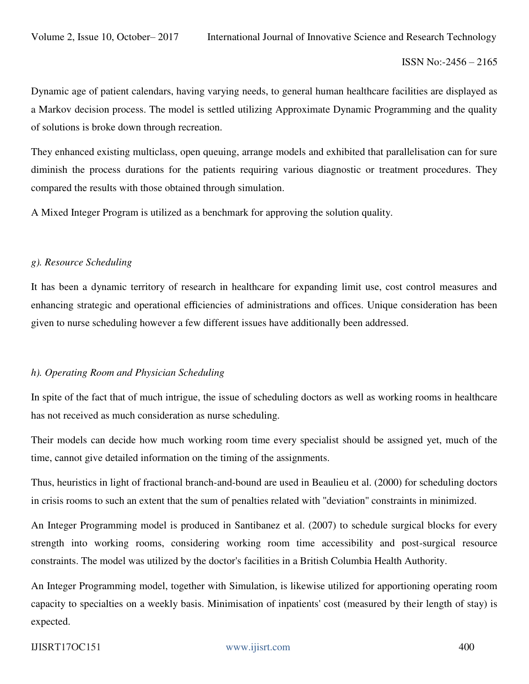Dynamic age of patient calendars, having varying needs, to general human healthcare facilities are displayed as a Markov decision process. The model is settled utilizing Approximate Dynamic Programming and the quality of solutions is broke down through recreation.

They enhanced existing multiclass, open queuing, arrange models and exhibited that parallelisation can for sure diminish the process durations for the patients requiring various diagnostic or treatment procedures. They compared the results with those obtained through simulation.

A Mixed Integer Program is utilized as a benchmark for approving the solution quality.

#### *g). Resource Scheduling*

It has been a dynamic territory of research in healthcare for expanding limit use, cost control measures and enhancing strategic and operational efficiencies of administrations and offices. Unique consideration has been given to nurse scheduling however a few different issues have additionally been addressed.

### *h). Operating Room and Physician Scheduling*

In spite of the fact that of much intrigue, the issue of scheduling doctors as well as working rooms in healthcare has not received as much consideration as nurse scheduling.

Their models can decide how much working room time every specialist should be assigned yet, much of the time, cannot give detailed information on the timing of the assignments.

Thus, heuristics in light of fractional branch-and-bound are used in Beaulieu et al. (2000) for scheduling doctors in crisis rooms to such an extent that the sum of penalties related with ''deviation'' constraints in minimized.

An Integer Programming model is produced in Santibanez et al. (2007) to schedule surgical blocks for every strength into working rooms, considering working room time accessibility and post-surgical resource constraints. The model was utilized by the doctor's facilities in a British Columbia Health Authority.

An Integer Programming model, together with Simulation, is likewise utilized for apportioning operating room capacity to specialties on a weekly basis. Minimisation of inpatients' cost (measured by their length of stay) is expected.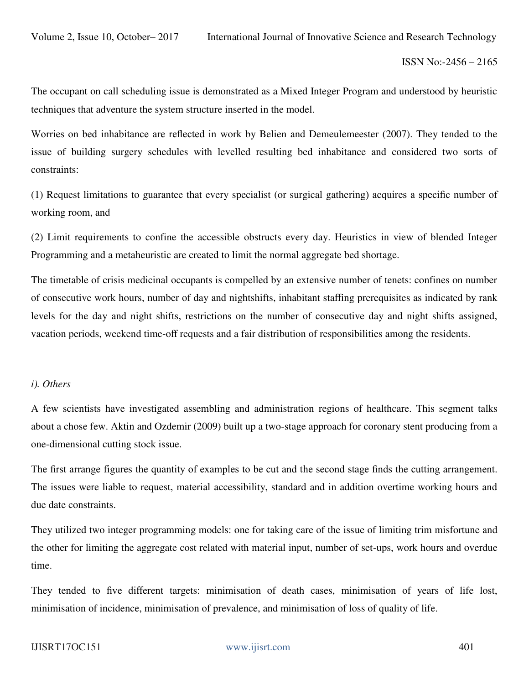The occupant on call scheduling issue is demonstrated as a Mixed Integer Program and understood by heuristic techniques that adventure the system structure inserted in the model.

Worries on bed inhabitance are reflected in work by Belien and Demeulemeester (2007). They tended to the issue of building surgery schedules with levelled resulting bed inhabitance and considered two sorts of constraints:

(1) Request limitations to guarantee that every specialist (or surgical gathering) acquires a specific number of working room, and

(2) Limit requirements to confine the accessible obstructs every day. Heuristics in view of blended Integer Programming and a metaheuristic are created to limit the normal aggregate bed shortage.

The timetable of crisis medicinal occupants is compelled by an extensive number of tenets: confines on number of consecutive work hours, number of day and nightshifts, inhabitant staffing prerequisites as indicated by rank levels for the day and night shifts, restrictions on the number of consecutive day and night shifts assigned, vacation periods, weekend time-off requests and a fair distribution of responsibilities among the residents.

#### *i). Others*

A few scientists have investigated assembling and administration regions of healthcare. This segment talks about a chose few. Aktin and Ozdemir (2009) built up a two-stage approach for coronary stent producing from a one-dimensional cutting stock issue.

The first arrange figures the quantity of examples to be cut and the second stage finds the cutting arrangement. The issues were liable to request, material accessibility, standard and in addition overtime working hours and due date constraints.

They utilized two integer programming models: one for taking care of the issue of limiting trim misfortune and the other for limiting the aggregate cost related with material input, number of set-ups, work hours and overdue time.

They tended to five different targets: minimisation of death cases, minimisation of years of life lost, minimisation of incidence, minimisation of prevalence, and minimisation of loss of quality of life.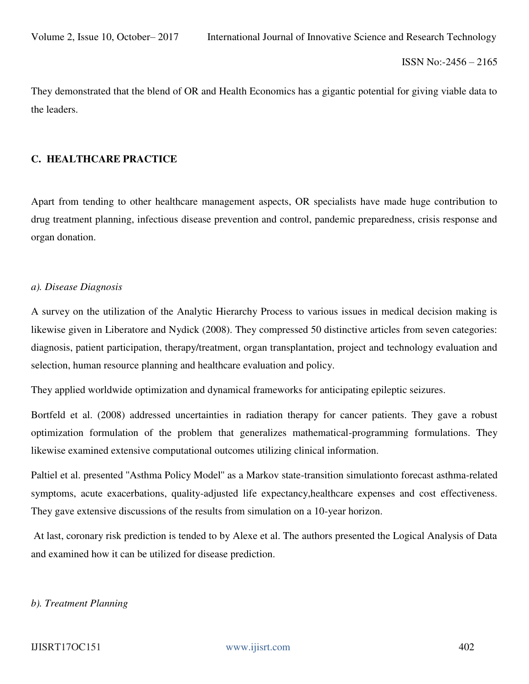They demonstrated that the blend of OR and Health Economics has a gigantic potential for giving viable data to the leaders.

#### **C. HEALTHCARE PRACTICE**

Apart from tending to other healthcare management aspects, OR specialists have made huge contribution to drug treatment planning, infectious disease prevention and control, pandemic preparedness, crisis response and organ donation.

#### *a). Disease Diagnosis*

A survey on the utilization of the Analytic Hierarchy Process to various issues in medical decision making is likewise given in Liberatore and Nydick (2008). They compressed 50 distinctive articles from seven categories: diagnosis, patient participation, therapy/treatment, organ transplantation, project and technology evaluation and selection, human resource planning and healthcare evaluation and policy.

They applied worldwide optimization and dynamical frameworks for anticipating epileptic seizures.

Bortfeld et al. (2008) addressed uncertainties in radiation therapy for cancer patients. They gave a robust optimization formulation of the problem that generalizes mathematical-programming formulations. They likewise examined extensive computational outcomes utilizing clinical information.

Paltiel et al. presented ''Asthma Policy Model'' as a Markov state-transition simulationto forecast asthma-related symptoms, acute exacerbations, quality-adjusted life expectancy,healthcare expenses and cost effectiveness. They gave extensive discussions of the results from simulation on a 10-year horizon.

 At last, coronary risk prediction is tended to by Alexe et al. The authors presented the Logical Analysis of Data and examined how it can be utilized for disease prediction.

#### *b). Treatment Planning*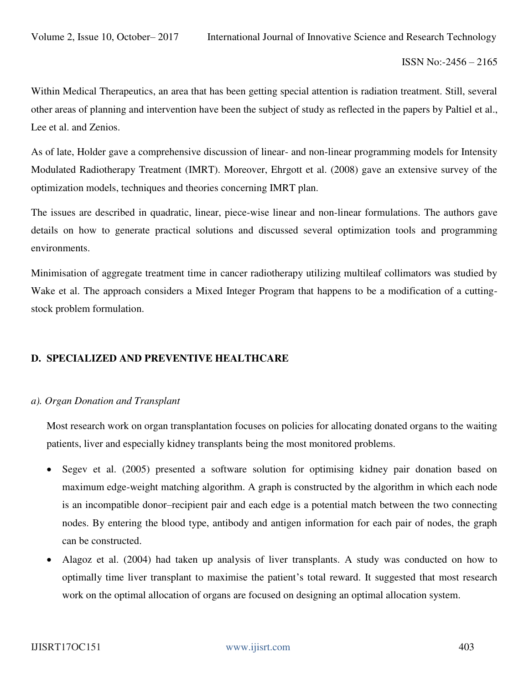Within Medical Therapeutics, an area that has been getting special attention is radiation treatment. Still, several other areas of planning and intervention have been the subject of study as reflected in the papers by Paltiel et al., Lee et al. and Zenios.

As of late, Holder gave a comprehensive discussion of linear- and non-linear programming models for Intensity Modulated Radiotherapy Treatment (IMRT). Moreover, Ehrgott et al. (2008) gave an extensive survey of the optimization models, techniques and theories concerning IMRT plan.

The issues are described in quadratic, linear, piece-wise linear and non-linear formulations. The authors gave details on how to generate practical solutions and discussed several optimization tools and programming environments.

Minimisation of aggregate treatment time in cancer radiotherapy utilizing multileaf collimators was studied by Wake et al. The approach considers a Mixed Integer Program that happens to be a modification of a cuttingstock problem formulation.

### **D. SPECIALIZED AND PREVENTIVE HEALTHCARE**

#### *a). Organ Donation and Transplant*

Most research work on organ transplantation focuses on policies for allocating donated organs to the waiting patients, liver and especially kidney transplants being the most monitored problems.

- Segev et al. (2005) presented a software solution for optimising kidney pair donation based on maximum edge-weight matching algorithm. A graph is constructed by the algorithm in which each node is an incompatible donor–recipient pair and each edge is a potential match between the two connecting nodes. By entering the blood type, antibody and antigen information for each pair of nodes, the graph can be constructed.
- Alagoz et al. (2004) had taken up analysis of liver transplants. A study was conducted on how to optimally time liver transplant to maximise the patient's total reward. It suggested that most research work on the optimal allocation of organs are focused on designing an optimal allocation system.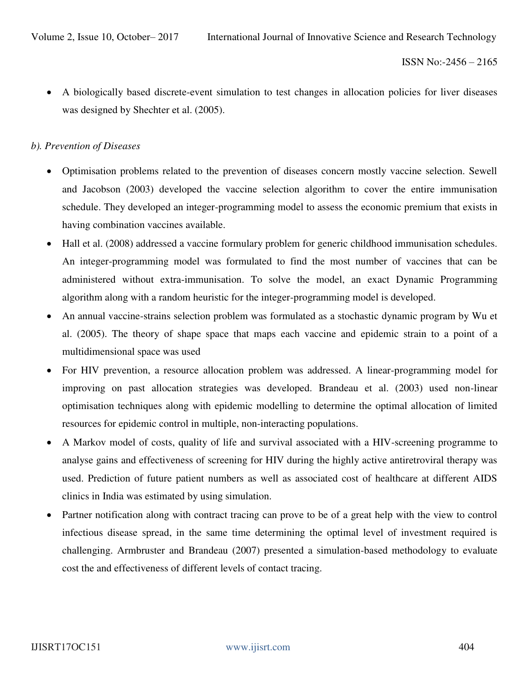A biologically based discrete-event simulation to test changes in allocation policies for liver diseases was designed by Shechter et al. (2005).

### *b). Prevention of Diseases*

- Optimisation problems related to the prevention of diseases concern mostly vaccine selection. Sewell and Jacobson (2003) developed the vaccine selection algorithm to cover the entire immunisation schedule. They developed an integer-programming model to assess the economic premium that exists in having combination vaccines available.
- Hall et al. (2008) addressed a vaccine formulary problem for generic childhood immunisation schedules. An integer-programming model was formulated to find the most number of vaccines that can be administered without extra-immunisation. To solve the model, an exact Dynamic Programming algorithm along with a random heuristic for the integer-programming model is developed.
- An annual vaccine-strains selection problem was formulated as a stochastic dynamic program by Wu et al. (2005). The theory of shape space that maps each vaccine and epidemic strain to a point of a multidimensional space was used
- For HIV prevention, a resource allocation problem was addressed. A linear-programming model for improving on past allocation strategies was developed. Brandeau et al. (2003) used non-linear optimisation techniques along with epidemic modelling to determine the optimal allocation of limited resources for epidemic control in multiple, non-interacting populations.
- A Markov model of costs, quality of life and survival associated with a HIV-screening programme to analyse gains and effectiveness of screening for HIV during the highly active antiretroviral therapy was used. Prediction of future patient numbers as well as associated cost of healthcare at different AIDS clinics in India was estimated by using simulation.
- Partner notification along with contract tracing can prove to be of a great help with the view to control infectious disease spread, in the same time determining the optimal level of investment required is challenging. Armbruster and Brandeau (2007) presented a simulation-based methodology to evaluate cost the and effectiveness of different levels of contact tracing.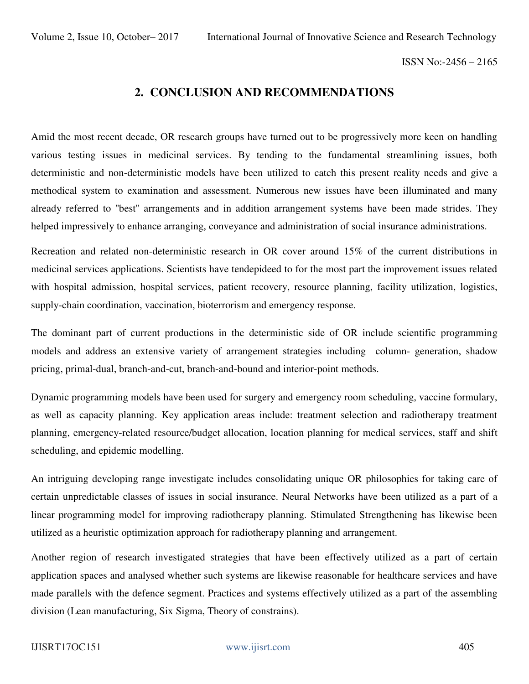# **2. CONCLUSION AND RECOMMENDATIONS**

Amid the most recent decade, OR research groups have turned out to be progressively more keen on handling various testing issues in medicinal services. By tending to the fundamental streamlining issues, both deterministic and non-deterministic models have been utilized to catch this present reality needs and give a methodical system to examination and assessment. Numerous new issues have been illuminated and many already referred to ''best'' arrangements and in addition arrangement systems have been made strides. They helped impressively to enhance arranging, conveyance and administration of social insurance administrations.

Recreation and related non-deterministic research in OR cover around 15% of the current distributions in medicinal services applications. Scientists have tendepideed to for the most part the improvement issues related with hospital admission, hospital services, patient recovery, resource planning, facility utilization, logistics, supply-chain coordination, vaccination, bioterrorism and emergency response.

The dominant part of current productions in the deterministic side of OR include scientific programming models and address an extensive variety of arrangement strategies including column- generation, shadow pricing, primal-dual, branch-and-cut, branch-and-bound and interior-point methods.

Dynamic programming models have been used for surgery and emergency room scheduling, vaccine formulary, as well as capacity planning. Key application areas include: treatment selection and radiotherapy treatment planning, emergency-related resource/budget allocation, location planning for medical services, staff and shift scheduling, and epidemic modelling.

An intriguing developing range investigate includes consolidating unique OR philosophies for taking care of certain unpredictable classes of issues in social insurance. Neural Networks have been utilized as a part of a linear programming model for improving radiotherapy planning. Stimulated Strengthening has likewise been utilized as a heuristic optimization approach for radiotherapy planning and arrangement.

Another region of research investigated strategies that have been effectively utilized as a part of certain application spaces and analysed whether such systems are likewise reasonable for healthcare services and have made parallels with the defence segment. Practices and systems effectively utilized as a part of the assembling division (Lean manufacturing, Six Sigma, Theory of constrains).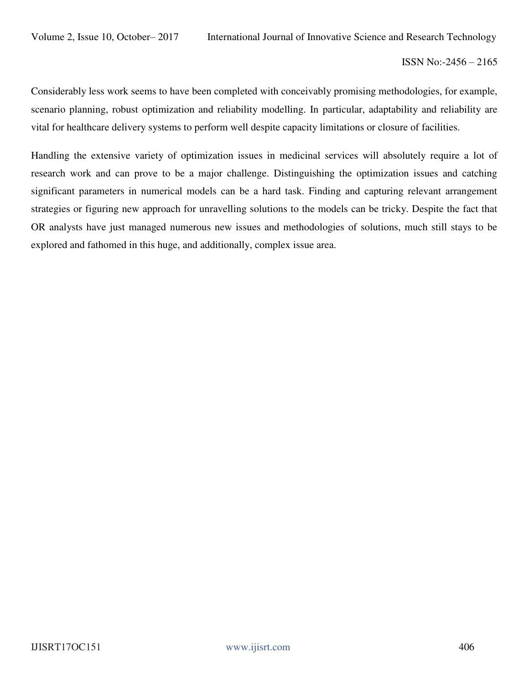Considerably less work seems to have been completed with conceivably promising methodologies, for example, scenario planning, robust optimization and reliability modelling. In particular, adaptability and reliability are vital for healthcare delivery systems to perform well despite capacity limitations or closure of facilities.

Handling the extensive variety of optimization issues in medicinal services will absolutely require a lot of research work and can prove to be a major challenge. Distinguishing the optimization issues and catching significant parameters in numerical models can be a hard task. Finding and capturing relevant arrangement strategies or figuring new approach for unravelling solutions to the models can be tricky. Despite the fact that OR analysts have just managed numerous new issues and methodologies of solutions, much still stays to be explored and fathomed in this huge, and additionally, complex issue area.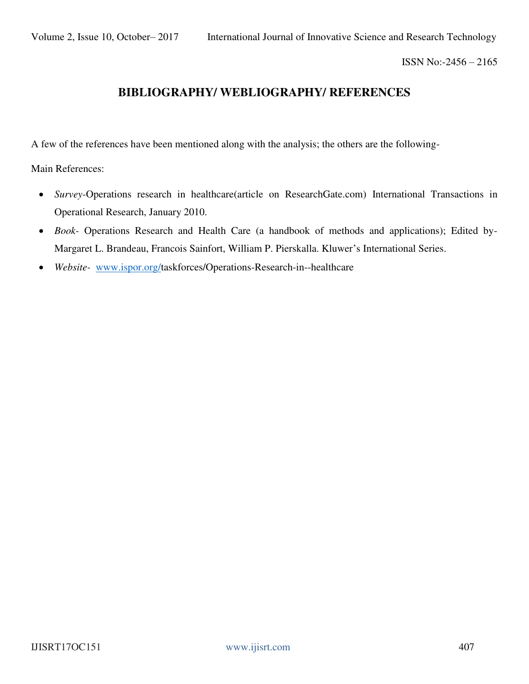# **BIBLIOGRAPHY/ WEBLIOGRAPHY/ REFERENCES**

A few of the references have been mentioned along with the analysis; the others are the following-

Main References:

- *Survey-*Operations research in healthcare(article on ResearchGate.com) International Transactions in Operational Research, January 2010.
- *Book-* Operations Research and Health Care (a handbook of methods and applications); Edited by-Margaret L. Brandeau, Francois Sainfort, William P. Pierskalla. Kluwer's International Series.
- *Website-* [www.ispor.org/t](http://www.ispor.org/)askforces/Operations-Research-in--healthcare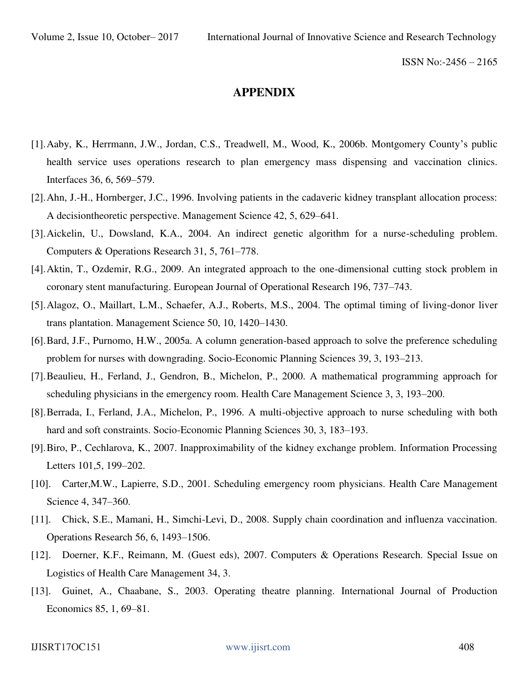### **APPENDIX**

- [1].Aaby, K., Herrmann, J.W., Jordan, C.S., Treadwell, M., Wood, K., 2006b. Montgomery County's public health service uses operations research to plan emergency mass dispensing and vaccination clinics. Interfaces 36, 6, 569–579.
- [2].Ahn, J.-H., Hornberger, J.C., 1996. Involving patients in the cadaveric kidney transplant allocation process: A decisiontheoretic perspective. Management Science 42, 5, 629–641.
- [3].Aickelin, U., Dowsland, K.A., 2004. An indirect genetic algorithm for a nurse-scheduling problem. Computers & Operations Research 31, 5, 761–778.
- [4].Aktin, T., Ozdemir, R.G., 2009. An integrated approach to the one-dimensional cutting stock problem in coronary stent manufacturing. European Journal of Operational Research 196, 737–743.
- [5].Alagoz, O., Maillart, L.M., Schaefer, A.J., Roberts, M.S., 2004. The optimal timing of living-donor liver trans plantation. Management Science 50, 10, 1420–1430.
- [6].Bard, J.F., Purnomo, H.W., 2005a. A column generation-based approach to solve the preference scheduling problem for nurses with downgrading. Socio-Economic Planning Sciences 39, 3, 193–213.
- [7].Beaulieu, H., Ferland, J., Gendron, B., Michelon, P., 2000. A mathematical programming approach for scheduling physicians in the emergency room. Health Care Management Science 3, 3, 193–200.
- [8].Berrada, I., Ferland, J.A., Michelon, P., 1996. A multi-objective approach to nurse scheduling with both hard and soft constraints. Socio-Economic Planning Sciences 30, 3, 183–193.
- [9].Biro, P., Cechlarova, K., 2007. Inapproximability of the kidney exchange problem. Information Processing Letters 101,5, 199–202.
- [10]. Carter,M.W., Lapierre, S.D., 2001. Scheduling emergency room physicians. Health Care Management Science 4, 347–360.
- [11]. Chick, S.E., Mamani, H., Simchi-Levi, D., 2008. Supply chain coordination and influenza vaccination. Operations Research 56, 6, 1493–1506.
- [12]. Doerner, K.F., Reimann, M. (Guest eds), 2007. Computers & Operations Research. Special Issue on Logistics of Health Care Management 34, 3.
- [13]. Guinet, A., Chaabane, S., 2003. Operating theatre planning. International Journal of Production Economics 85, 1, 69–81.